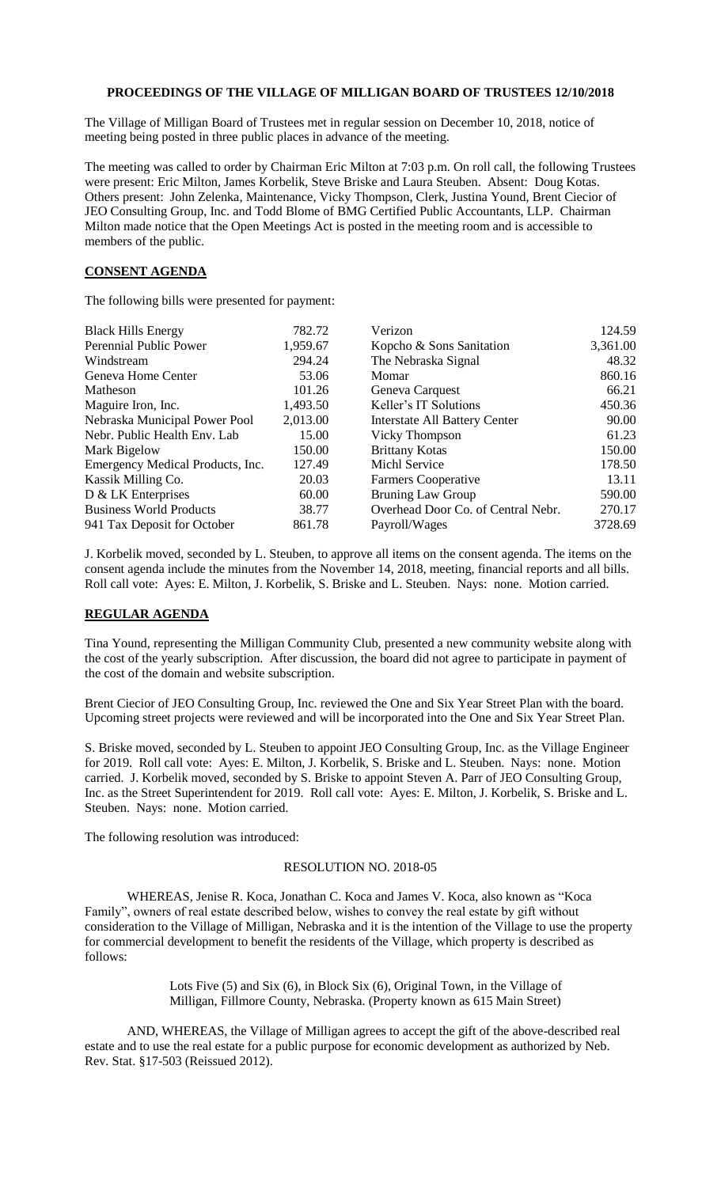# **PROCEEDINGS OF THE VILLAGE OF MILLIGAN BOARD OF TRUSTEES 12/10/2018**

The Village of Milligan Board of Trustees met in regular session on December 10, 2018, notice of meeting being posted in three public places in advance of the meeting.

The meeting was called to order by Chairman Eric Milton at 7:03 p.m. On roll call, the following Trustees were present: Eric Milton, James Korbelik, Steve Briske and Laura Steuben. Absent: Doug Kotas. Others present: John Zelenka, Maintenance, Vicky Thompson, Clerk, Justina Yound, Brent Ciecior of JEO Consulting Group, Inc. and Todd Blome of BMG Certified Public Accountants, LLP. Chairman Milton made notice that the Open Meetings Act is posted in the meeting room and is accessible to members of the public.

#### **CONSENT AGENDA**

The following bills were presented for payment:

| <b>Black Hills Energy</b>        | 782.72   | Verizon                              | 124.59   |
|----------------------------------|----------|--------------------------------------|----------|
| Perennial Public Power           | 1,959.67 | Kopcho & Sons Sanitation             | 3,361.00 |
| Windstream                       | 294.24   | The Nebraska Signal                  | 48.32    |
| Geneva Home Center               | 53.06    | Momar                                | 860.16   |
| Matheson                         | 101.26   | Geneva Carquest                      | 66.21    |
| Maguire Iron, Inc.               | 1,493.50 | Keller's IT Solutions                | 450.36   |
| Nebraska Municipal Power Pool    | 2,013.00 | <b>Interstate All Battery Center</b> | 90.00    |
| Nebr. Public Health Env. Lab     | 15.00    | Vicky Thompson                       | 61.23    |
| Mark Bigelow                     | 150.00   | <b>Brittany Kotas</b>                | 150.00   |
| Emergency Medical Products, Inc. | 127.49   | <b>Michl Service</b>                 | 178.50   |
| Kassik Milling Co.               | 20.03    | Farmers Cooperative                  | 13.11    |
| D & LK Enterprises               | 60.00    | <b>Bruning Law Group</b>             | 590.00   |
| <b>Business World Products</b>   | 38.77    | Overhead Door Co. of Central Nebr.   | 270.17   |
| 941 Tax Deposit for October      | 861.78   | Payroll/Wages                        | 3728.69  |

J. Korbelik moved, seconded by L. Steuben, to approve all items on the consent agenda. The items on the consent agenda include the minutes from the November 14, 2018, meeting, financial reports and all bills. Roll call vote: Ayes: E. Milton, J. Korbelik, S. Briske and L. Steuben. Nays: none. Motion carried.

#### **REGULAR AGENDA**

Tina Yound, representing the Milligan Community Club, presented a new community website along with the cost of the yearly subscription. After discussion, the board did not agree to participate in payment of the cost of the domain and website subscription.

Brent Ciecior of JEO Consulting Group, Inc. reviewed the One and Six Year Street Plan with the board. Upcoming street projects were reviewed and will be incorporated into the One and Six Year Street Plan.

S. Briske moved, seconded by L. Steuben to appoint JEO Consulting Group, Inc. as the Village Engineer for 2019. Roll call vote: Ayes: E. Milton, J. Korbelik, S. Briske and L. Steuben. Nays: none. Motion carried. J. Korbelik moved, seconded by S. Briske to appoint Steven A. Parr of JEO Consulting Group, Inc. as the Street Superintendent for 2019. Roll call vote: Ayes: E. Milton, J. Korbelik, S. Briske and L. Steuben. Nays: none. Motion carried.

The following resolution was introduced:

# RESOLUTION NO. 2018-05

WHEREAS, Jenise R. Koca, Jonathan C. Koca and James V. Koca, also known as "Koca Family", owners of real estate described below, wishes to convey the real estate by gift without consideration to the Village of Milligan, Nebraska and it is the intention of the Village to use the property for commercial development to benefit the residents of the Village, which property is described as follows:

> Lots Five (5) and Six (6), in Block Six (6), Original Town, in the Village of Milligan, Fillmore County, Nebraska. (Property known as 615 Main Street)

AND, WHEREAS, the Village of Milligan agrees to accept the gift of the above-described real estate and to use the real estate for a public purpose for economic development as authorized by Neb. Rev. Stat. §17-503 (Reissued 2012).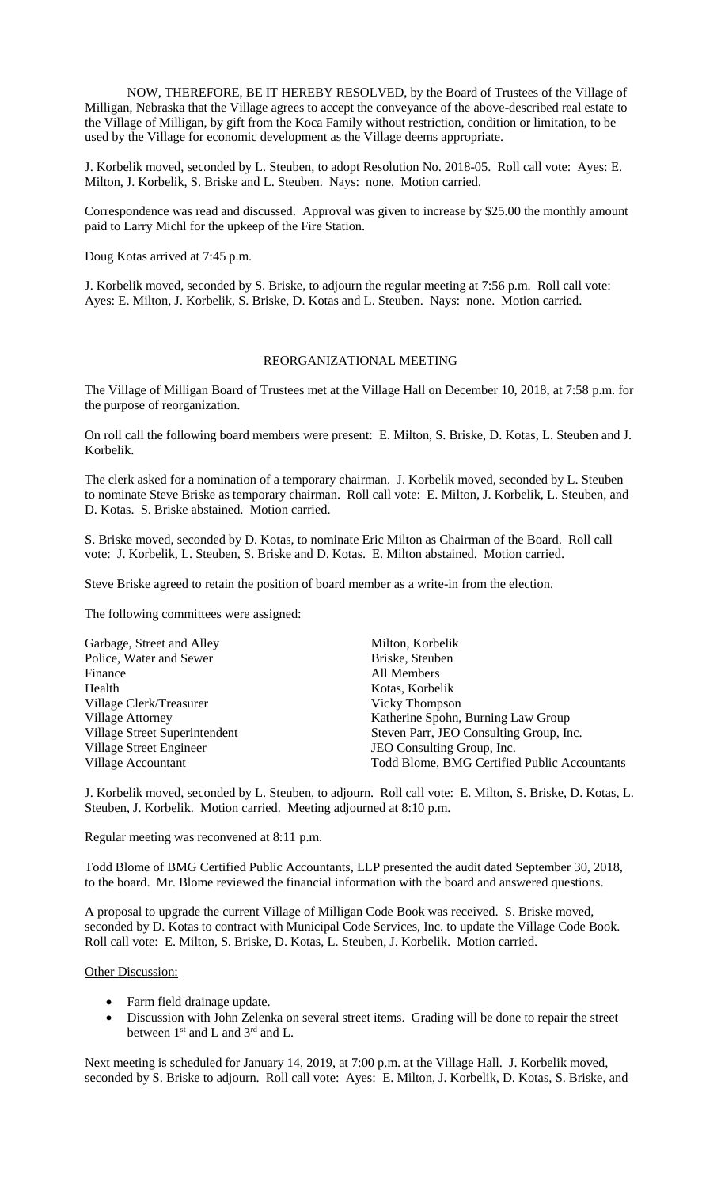NOW, THEREFORE, BE IT HEREBY RESOLVED, by the Board of Trustees of the Village of Milligan, Nebraska that the Village agrees to accept the conveyance of the above-described real estate to the Village of Milligan, by gift from the Koca Family without restriction, condition or limitation, to be used by the Village for economic development as the Village deems appropriate.

J. Korbelik moved, seconded by L. Steuben, to adopt Resolution No. 2018-05. Roll call vote: Ayes: E. Milton, J. Korbelik, S. Briske and L. Steuben. Nays: none. Motion carried.

Correspondence was read and discussed. Approval was given to increase by \$25.00 the monthly amount paid to Larry Michl for the upkeep of the Fire Station.

Doug Kotas arrived at 7:45 p.m.

J. Korbelik moved, seconded by S. Briske, to adjourn the regular meeting at 7:56 p.m. Roll call vote: Ayes: E. Milton, J. Korbelik, S. Briske, D. Kotas and L. Steuben. Nays: none. Motion carried.

### REORGANIZATIONAL MEETING

The Village of Milligan Board of Trustees met at the Village Hall on December 10, 2018, at 7:58 p.m. for the purpose of reorganization.

On roll call the following board members were present: E. Milton, S. Briske, D. Kotas, L. Steuben and J. Korbelik.

The clerk asked for a nomination of a temporary chairman. J. Korbelik moved, seconded by L. Steuben to nominate Steve Briske as temporary chairman. Roll call vote: E. Milton, J. Korbelik, L. Steuben, and D. Kotas. S. Briske abstained. Motion carried.

S. Briske moved, seconded by D. Kotas, to nominate Eric Milton as Chairman of the Board. Roll call vote: J. Korbelik, L. Steuben, S. Briske and D. Kotas. E. Milton abstained. Motion carried.

Steve Briske agreed to retain the position of board member as a write-in from the election.

The following committees were assigned:

| Garbage, Street and Alley     | Milton, Korbelik                             |  |
|-------------------------------|----------------------------------------------|--|
| Police, Water and Sewer       | Briske, Steuben                              |  |
| Finance                       | All Members                                  |  |
| Health                        | Kotas, Korbelik                              |  |
| Village Clerk/Treasurer       | Vicky Thompson                               |  |
| <b>Village Attorney</b>       | Katherine Spohn, Burning Law Group           |  |
| Village Street Superintendent | Steven Parr, JEO Consulting Group, Inc.      |  |
| Village Street Engineer       | JEO Consulting Group, Inc.                   |  |
| Village Accountant            | Todd Blome, BMG Certified Public Accountants |  |

J. Korbelik moved, seconded by L. Steuben, to adjourn. Roll call vote: E. Milton, S. Briske, D. Kotas, L. Steuben, J. Korbelik. Motion carried. Meeting adjourned at 8:10 p.m.

Regular meeting was reconvened at 8:11 p.m.

Todd Blome of BMG Certified Public Accountants, LLP presented the audit dated September 30, 2018, to the board. Mr. Blome reviewed the financial information with the board and answered questions.

A proposal to upgrade the current Village of Milligan Code Book was received. S. Briske moved, seconded by D. Kotas to contract with Municipal Code Services, Inc. to update the Village Code Book. Roll call vote: E. Milton, S. Briske, D. Kotas, L. Steuben, J. Korbelik. Motion carried.

**Other Discussion:** 

- Farm field drainage update.
- Discussion with John Zelenka on several street items. Grading will be done to repair the street between 1<sup>st</sup> and L and 3<sup>rd</sup> and L.

Next meeting is scheduled for January 14, 2019, at 7:00 p.m. at the Village Hall. J. Korbelik moved, seconded by S. Briske to adjourn. Roll call vote: Ayes: E. Milton, J. Korbelik, D. Kotas, S. Briske, and